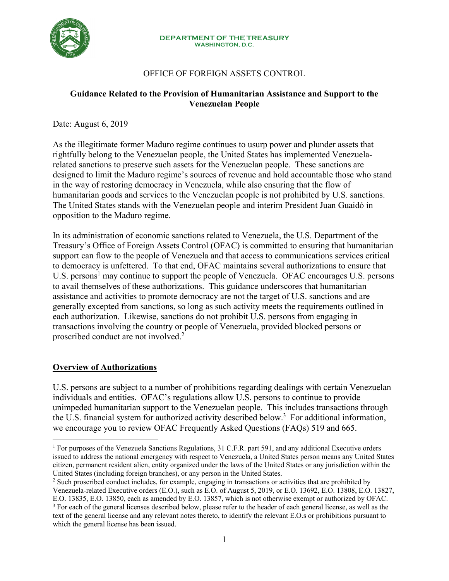

# OFFICE OF FOREIGN ASSETS CONTROL

### **Guidance Related to the Provision of Humanitarian Assistance and Support to the Venezuelan People**

Date: August 6, 2019

As the illegitimate former Maduro regime continues to usurp power and plunder assets that rightfully belong to the Venezuelan people, the United States has implemented Venezuelarelated sanctions to preserve such assets for the Venezuelan people. These sanctions are designed to limit the Maduro regime's sources of revenue and hold accountable those who stand in the way of restoring democracy in Venezuela, while also ensuring that the flow of humanitarian goods and services to the Venezuelan people is not prohibited by U.S. sanctions. The United States stands with the Venezuelan people and interim President Juan Guaidó in opposition to the Maduro regime.

In its administration of economic sanctions related to Venezuela, the U.S. Department of the Treasury's Office of Foreign Assets Control (OFAC) is committed to ensuring that humanitarian support can flow to the people of Venezuela and that access to communications services critical to democracy is unfettered. To that end, OFAC maintains several authorizations to ensure that U.S. persons<sup>1</sup> may continue to support the people of Venezuela. OFAC encourages U.S. persons to avail themselves of these authorizations. This guidance underscores that humanitarian assistance and activities to promote democracy are not the target of U.S. sanctions and are generally excepted from sanctions, so long as such activity meets the requirements outlined in each authorization. Likewise, sanctions do not prohibit U.S. persons from engaging in transactions involving the country or people of Venezuela, provided blocked persons or proscribed conduct are not involved.2

## **Overview of Authorizations**

 $\overline{a}$ 

U.S. persons are subject to a number of prohibitions regarding dealings with certain Venezuelan individuals and entities. OFAC's regulations allow U.S. persons to continue to provide unimpeded humanitarian support to the Venezuelan people. This includes transactions through the U.S. financial system for authorized activity described below.<sup>3</sup> For additional information, we encourage you to review OFAC Frequently Asked Questions (FAQs) 519 and 665.

<sup>&</sup>lt;sup>1</sup> For purposes of the Venezuela Sanctions Regulations, 31 C.F.R. part 591, and any additional Executive orders issued to address the national emergency with respect to Venezuela, a United States person means any United States citizen, permanent resident alien, entity organized under the laws of the United States or any jurisdiction within the United States (including foreign branches), or any person in the United States.

<sup>&</sup>lt;sup>2</sup> Such proscribed conduct includes, for example, engaging in transactions or activities that are prohibited by Venezuela-related Executive orders (E.O.), such as E.O. of August 5, 2019, or E.O. 13692, E.O. 13808, E.O. 13827, E.O. 13835, E.O. 13850, each as amended by E.O. 13857, which is not otherwise exempt or authorized by OFAC. <sup>3</sup> For each of the general licenses described below, please refer to the header of each general license, as well as the text of the general license and any relevant notes thereto, to identify the relevant E.O.s or prohibitions pursuant to which the general license has been issued.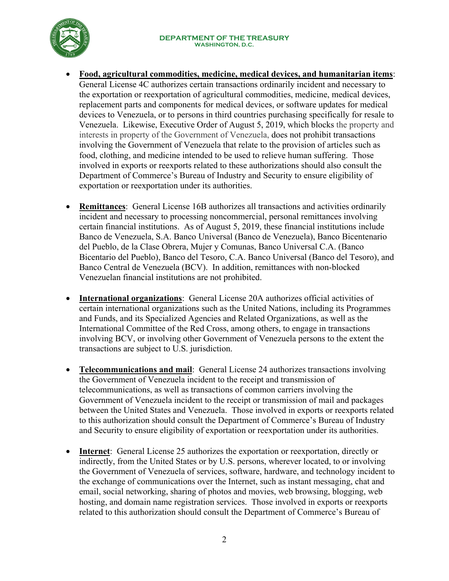

- **Food, agricultural commodities, medicine, medical devices, and humanitarian items**: General License 4C authorizes certain transactions ordinarily incident and necessary to the exportation or reexportation of agricultural commodities, medicine, medical devices, replacement parts and components for medical devices, or software updates for medical devices to Venezuela, or to persons in third countries purchasing specifically for resale to Venezuela. Likewise, Executive Order of August 5, 2019, which blocks the property and interests in property of the Government of Venezuela, does not prohibit transactions involving the Government of Venezuela that relate to the provision of articles such as food, clothing, and medicine intended to be used to relieve human suffering. Those involved in exports or reexports related to these authorizations should also consult the Department of Commerce's Bureau of Industry and Security to ensure eligibility of exportation or reexportation under its authorities.
- **Remittances**: [General License 16B](https://www.treasury.gov/resource-center/sanctions/Programs/Documents/venezuela_gl16a.pdf) authorizes all transactions and activities ordinarily incident and necessary to processing noncommercial, personal remittances involving certain financial institutions. As of August 5, 2019, these financial institutions include Banco de Venezuela, S.A. Banco Universal (Banco de Venezuela), Banco Bicentenario del Pueblo, de la Clase Obrera, Mujer y Comunas, Banco Universal C.A. (Banco Bicentario del Pueblo), Banco del Tesoro, C.A. Banco Universal (Banco del Tesoro), and Banco Central de Venezuela (BCV). In addition, remittances with non-blocked Venezuelan financial institutions are not prohibited.
- **International organizations**: [General License 20A](https://www.treasury.gov/resource-center/sanctions/Programs/Documents/venezuela_gl20.pdf) authorizes official activities of certain international organizations such as the United Nations, including its Programmes and Funds, and its Specialized Agencies and Related Organizations, as well as the International Committee of the Red Cross, among others, to engage in transactions involving BCV, or involving other Government of Venezuela persons to the extent the transactions are subject to U.S. jurisdiction.
- **Telecommunications and mail:** General License 24 authorizes transactions involving the Government of Venezuela incident to the receipt and transmission of telecommunications, as well as transactions of common carriers involving the Government of Venezuela incident to the receipt or transmission of mail and packages between the United States and Venezuela. Those involved in exports or reexports related to this authorization should consult the Department of Commerce's Bureau of Industry and Security to ensure eligibility of exportation or reexportation under its authorities.
- **Internet**: General License 25 authorizes the exportation or reexportation, directly or indirectly, from the United States or by U.S. persons, wherever located, to or involving the Government of Venezuela of services, software, hardware, and technology incident to the exchange of communications over the Internet, such as instant messaging, chat and email, social networking, sharing of photos and movies, web browsing, blogging, web hosting, and domain name registration services. Those involved in exports or reexports related to this authorization should consult the Department of Commerce's Bureau of